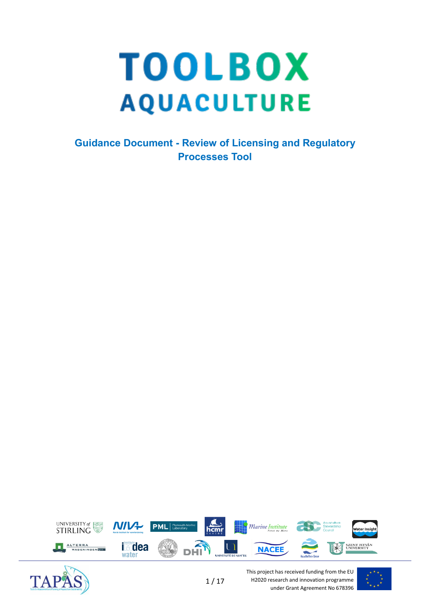# **TOOLBOX AQUACULTURE**

**Guidance Document - Review of Licensing and Regulatory Processes Tool**





This project has received funding from the EU H2020 research and innovation programme under Grant Agreement No 678396

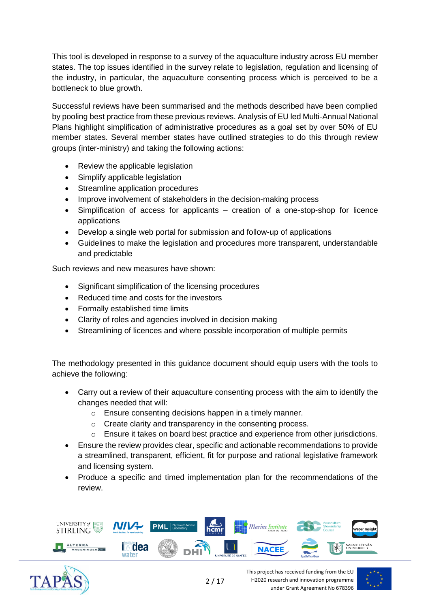This tool is developed in response to a survey of the aquaculture industry across EU member states. The top issues identified in the survey relate to legislation, regulation and licensing of the industry, in particular, the aquaculture consenting process which is perceived to be a bottleneck to blue growth.

Successful reviews have been summarised and the methods described have been complied by pooling best practice from these previous reviews. Analysis of EU led Multi-Annual National Plans highlight simplification of administrative procedures as a goal set by over 50% of EU member states. Several member states have outlined strategies to do this through review groups (inter-ministry) and taking the following actions:

- Review the applicable legislation
- Simplify applicable legislation
- Streamline application procedures
- Improve involvement of stakeholders in the decision-making process
- Simplification of access for applicants creation of a one-stop-shop for licence applications
- Develop a single web portal for submission and follow-up of applications
- Guidelines to make the legislation and procedures more transparent, understandable and predictable

Such reviews and new measures have shown:

- Significant simplification of the licensing procedures
- Reduced time and costs for the investors
- Formally established time limits
- Clarity of roles and agencies involved in decision making
- Streamlining of licences and where possible incorporation of multiple permits

The methodology presented in this guidance document should equip users with the tools to achieve the following:

- Carry out a review of their aquaculture consenting process with the aim to identify the changes needed that will:
	- o Ensure consenting decisions happen in a timely manner.
	- o Create clarity and transparency in the consenting process.
	- o Ensure it takes on board best practice and experience from other jurisdictions.
- Ensure the review provides clear, specific and actionable recommendations to provide a streamlined, transparent, efficient, fit for purpose and rational legislative framework and licensing system.
- Produce a specific and timed implementation plan for the recommendations of the review.





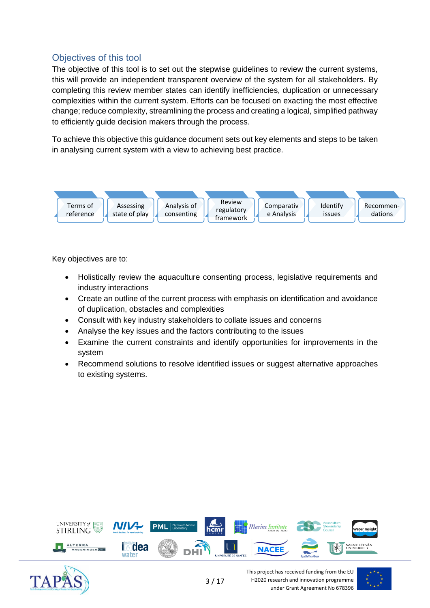# Objectives of this tool

The objective of this tool is to set out the stepwise guidelines to review the current systems, this will provide an independent transparent overview of the system for all stakeholders. By completing this review member states can identify inefficiencies, duplication or unnecessary complexities within the current system. Efforts can be focused on exacting the most effective change; reduce complexity, streamlining the process and creating a logical, simplified pathway to efficiently guide decision makers through the process.

To achieve this objective this guidance document sets out key elements and steps to be taken in analysing current system with a view to achieving best practice.



Key objectives are to:

- Holistically review the aquaculture consenting process, legislative requirements and industry interactions
- Create an outline of the current process with emphasis on identification and avoidance of duplication, obstacles and complexities
- Consult with key industry stakeholders to collate issues and concerns
- Analyse the key issues and the factors contributing to the issues
- Examine the current constraints and identify opportunities for improvements in the system
- Recommend solutions to resolve identified issues or suggest alternative approaches to existing systems.



3 / 17



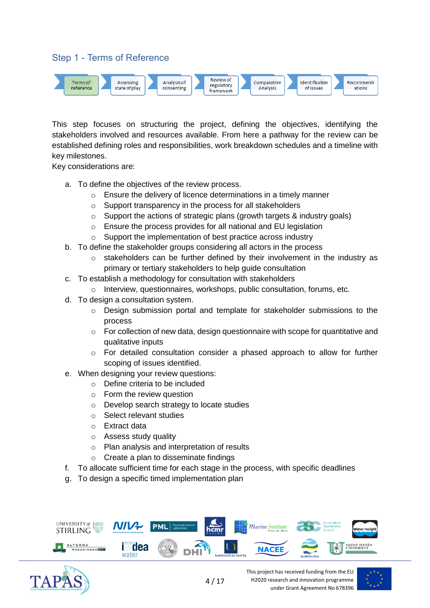# Step 1 - Terms of Reference



This step focuses on structuring the project, defining the objectives, identifying the stakeholders involved and resources available. From here a pathway for the review can be established defining roles and responsibilities, work breakdown schedules and a timeline with key milestones.

Key considerations are:

- a. To define the objectives of the review process.
	- $\circ$  Ensure the delivery of licence determinations in a timely manner
	- o Support transparency in the process for all stakeholders
	- $\circ$  Support the actions of strategic plans (growth targets & industry goals)
	- $\circ$  Ensure the process provides for all national and EU legislation
	- o Support the implementation of best practice across industry
- b. To define the stakeholder groups considering all actors in the process
	- o stakeholders can be further defined by their involvement in the industry as primary or tertiary stakeholders to help guide consultation
- c. To establish a methodology for consultation with stakeholders
	- Interview, questionnaires, workshops, public consultation, forums, etc.
- d. To design a consultation system.
	- o Design submission portal and template for stakeholder submissions to the process
	- o For collection of new data, design questionnaire with scope for quantitative and qualitative inputs
	- $\circ$  For detailed consultation consider a phased approach to allow for further scoping of issues identified.
- e. When designing your review questions:
	- o Define criteria to be included
	- o Form the review question
	- o Develop search strategy to locate studies
	- o Select relevant studies
	- o Extract data
	- o Assess study quality
	- o Plan analysis and interpretation of results
	- o Create a plan to disseminate findings
- f. To allocate sufficient time for each stage in the process, with specific deadlines
- g. To design a specific timed implementation plan





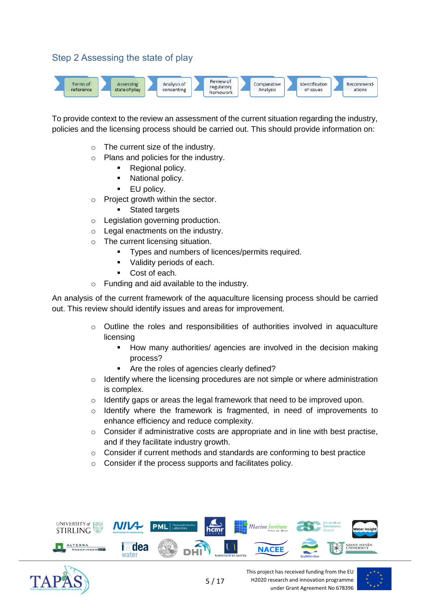# Step 2 Assessing the state of play



To provide context to the review an assessment of the current situation regarding the industry, policies and the licensing process should be carried out. This should provide information on:

- o The current size of the industry.
- o Plans and policies for the industry.
	- Regional policy.
	- National policy.
	- **EU** policy.
- o Project growth within the sector.
	- **Stated targets**
- o Legislation governing production.
- o Legal enactments on the industry.
- o The current licensing situation.
	- Types and numbers of licences/permits required.
	- Validity periods of each.
	- Cost of each.
- o Funding and aid available to the industry.

An analysis of the current framework of the aquaculture licensing process should be carried out. This review should identify issues and areas for improvement.

- $\circ$  Outline the roles and responsibilities of authorities involved in aquaculture licensing
	- **■** How many authorities/ agencies are involved in the decision making process?
	- Are the roles of agencies clearly defined?
- $\circ$  Identify where the licensing procedures are not simple or where administration is complex.
- $\circ$  Identify gaps or areas the legal framework that need to be improved upon.
- o Identify where the framework is fragmented, in need of improvements to enhance efficiency and reduce complexity.
- $\circ$  Consider if administrative costs are appropriate and in line with best practise. and if they facilitate industry growth.
- $\circ$  Consider if current methods and standards are conforming to best practice
- o Consider if the process supports and facilitates policy.





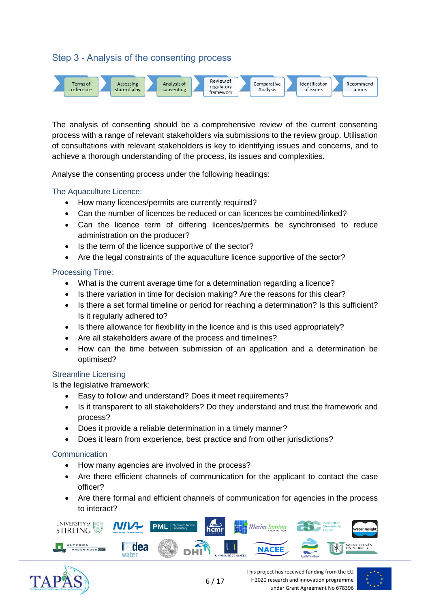# Step 3 - Analysis of the consenting process



The analysis of consenting should be a comprehensive review of the current consenting process with a range of relevant stakeholders via submissions to the review group. Utilisation of consultations with relevant stakeholders is key to identifying issues and concerns, and to achieve a thorough understanding of the process, its issues and complexities.

Analyse the consenting process under the following headings:

#### The Aquaculture Licence:

- How many licences/permits are currently required?
- Can the number of licences be reduced or can licences be combined/linked?
- Can the licence term of differing licences/permits be synchronised to reduce administration on the producer?
- Is the term of the licence supportive of the sector?
- Are the legal constraints of the aquaculture licence supportive of the sector?

#### Processing Time:

- What is the current average time for a determination regarding a licence?
- Is there variation in time for decision making? Are the reasons for this clear?
- Is there a set formal timeline or period for reaching a determination? Is this sufficient? Is it regularly adhered to?
- Is there allowance for flexibility in the licence and is this used appropriately?
- Are all stakeholders aware of the process and timelines?
- How can the time between submission of an application and a determination be optimised?

#### Streamline Licensing

Is the legislative framework:

- Easy to follow and understand? Does it meet requirements?
- Is it transparent to all stakeholders? Do they understand and trust the framework and process?
- Does it provide a reliable determination in a timely manner?
- Does it learn from experience, best practice and from other jurisdictions?

## Communication

- How many agencies are involved in the process?
- Are there efficient channels of communication for the applicant to contact the case officer?
- Are there formal and efficient channels of communication for agencies in the process to interact?





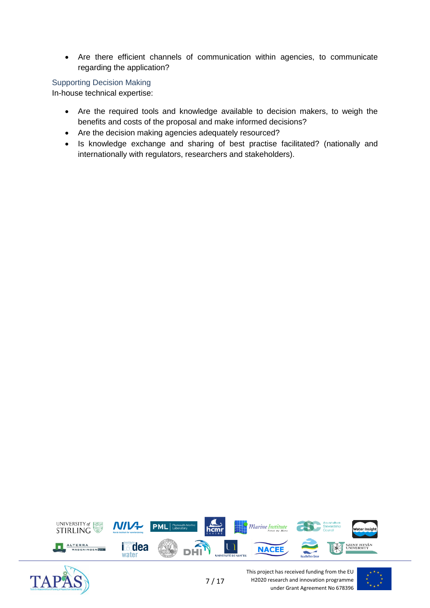• Are there efficient channels of communication within agencies, to communicate regarding the application?

## Supporting Decision Making

In-house technical expertise:

- Are the required tools and knowledge available to decision makers, to weigh the benefits and costs of the proposal and make informed decisions?
- Are the decision making agencies adequately resourced?
- Is knowledge exchange and sharing of best practise facilitated? (nationally and internationally with regulators, researchers and stakeholders).





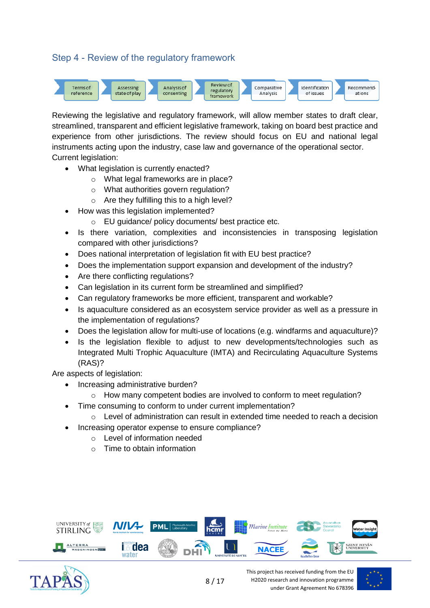# Step 4 - Review of the regulatory framework



Reviewing the legislative and regulatory framework, will allow member states to draft clear, streamlined, transparent and efficient legislative framework, taking on board best practice and experience from other jurisdictions. The review should focus on EU and national legal instruments acting upon the industry, case law and governance of the operational sector. Current legislation:

- What legislation is currently enacted?
	- o What legal frameworks are in place?
	- o What authorities govern regulation?
	- o Are they fulfilling this to a high level?
- How was this legislation implemented?
	- o EU guidance/ policy documents/ best practice etc.
- Is there variation, complexities and inconsistencies in transposing legislation compared with other jurisdictions?
- Does national interpretation of legislation fit with EU best practice?
- Does the implementation support expansion and development of the industry?
- Are there conflicting regulations?
- Can legislation in its current form be streamlined and simplified?
- Can regulatory frameworks be more efficient, transparent and workable?
- Is aquaculture considered as an ecosystem service provider as well as a pressure in the implementation of regulations?
- Does the legislation allow for multi-use of locations (e.g. windfarms and aquaculture)?
- Is the legislation flexible to adjust to new developments/technologies such as Integrated Multi Trophic Aquaculture (IMTA) and Recirculating Aquaculture Systems (RAS)?

Are aspects of legislation:

- Increasing administrative burden?
	- $\circ$  How many competent bodies are involved to conform to meet regulation?
- Time consuming to conform to under current implementation?
	- $\circ$  Level of administration can result in extended time needed to reach a decision
		- Increasing operator expense to ensure compliance?
			- o Level of information needed
				- $\circ$  Time to obtain information





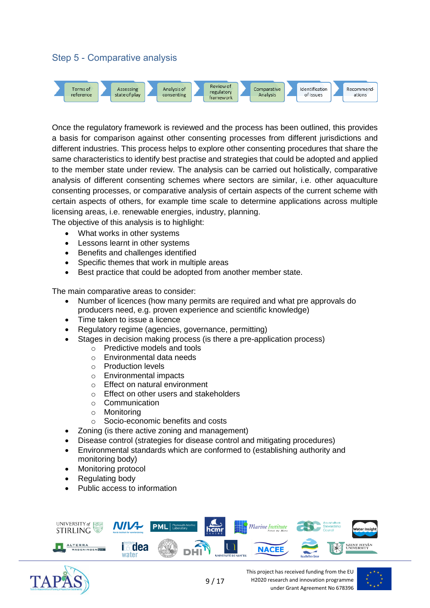# Step 5 - Comparative analysis



Once the regulatory framework is reviewed and the process has been outlined, this provides a basis for comparison against other consenting processes from different jurisdictions and different industries. This process helps to explore other consenting procedures that share the same characteristics to identify best practise and strategies that could be adopted and applied to the member state under review. The analysis can be carried out holistically, comparative analysis of different consenting schemes where sectors are similar, i.e. other aquaculture consenting processes, or comparative analysis of certain aspects of the current scheme with certain aspects of others, for example time scale to determine applications across multiple licensing areas, i.e. renewable energies, industry, planning.

The objective of this analysis is to highlight:

- What works in other systems
- Lessons learnt in other systems
- Benefits and challenges identified
- Specific themes that work in multiple areas
- Best practice that could be adopted from another member state.

The main comparative areas to consider:

- Number of licences (how many permits are required and what pre approvals do producers need, e.g. proven experience and scientific knowledge)
- Time taken to issue a licence
- Regulatory regime (agencies, governance, permitting)
- Stages in decision making process (is there a pre-application process)
	- o Predictive models and tools
		- o Environmental data needs
	- o Production levels
	- o Environmental impacts
	- o Effect on natural environment
	- o Effect on other users and stakeholders
	- o Communication
	- o Monitoring
	- o Socio-economic benefits and costs
- Zoning (is there active zoning and management)
- Disease control (strategies for disease control and mitigating procedures)
- Environmental standards which are conformed to (establishing authority and monitoring body)
- Monitoring protocol
- Regulating body
- Public access to information





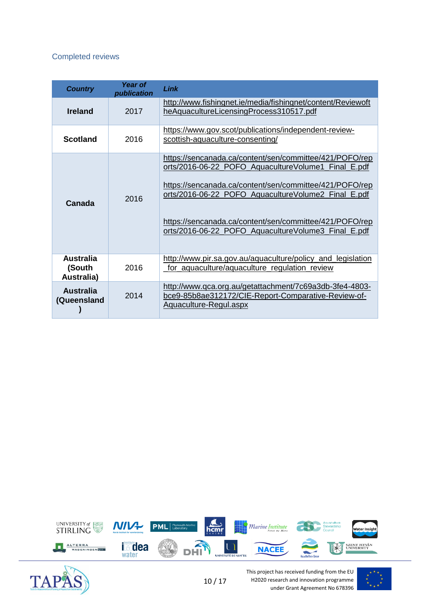#### Completed reviews

| <b>Country</b>                           | Year of<br>publication | Link                                                                                                                                                                                                                                                                                                                                               |
|------------------------------------------|------------------------|----------------------------------------------------------------------------------------------------------------------------------------------------------------------------------------------------------------------------------------------------------------------------------------------------------------------------------------------------|
| <b>Ireland</b>                           | 2017                   | http://www.fishingnet.ie/media/fishingnet/content/Reviewoft<br>heAquacultureLicensingProcess310517.pdf                                                                                                                                                                                                                                             |
| <b>Scotland</b>                          | 2016                   | https://www.gov.scot/publications/independent-review-<br>scottish-aquaculture-consenting/                                                                                                                                                                                                                                                          |
| Canada                                   | 2016                   | https://sencanada.ca/content/sen/committee/421/POFO/rep<br>orts/2016-06-22_POFO_AquacultureVolume1_Final_E.pdf<br>https://sencanada.ca/content/sen/committee/421/POFO/rep<br>orts/2016-06-22_POFO_AquacultureVolume2_Final_E.pdf<br>https://sencanada.ca/content/sen/committee/421/POFO/rep<br>orts/2016-06-22_POFO_AquacultureVolume3_Final_E.pdf |
| <b>Australia</b><br>(South<br>Australia) | 2016                   | http://www.pir.sa.gov.au/aquaculture/policy and legislation<br>for aquaculture/aquaculture regulation review                                                                                                                                                                                                                                       |
| <b>Australia</b><br>(Queensland          | 2014                   | http://www.qca.org.au/getattachment/7c69a3db-3fe4-4803-<br>bce9-85b8ae312172/CIE-Report-Comparative-Review-of-<br>Aquaculture-Regul.aspx                                                                                                                                                                                                           |





This project has received funding from the EU H2020 research and innovation programme under Grant Agreement No 678396

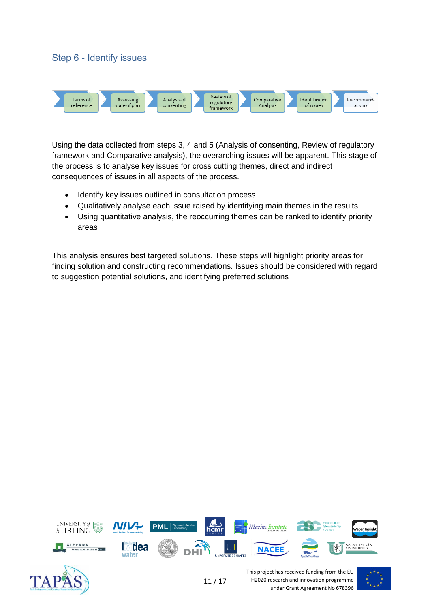## Step 6 - Identify issues



Using the data collected from steps 3, 4 and 5 (Analysis of consenting, Review of regulatory framework and Comparative analysis), the overarching issues will be apparent. This stage of the process is to analyse key issues for cross cutting themes, direct and indirect consequences of issues in all aspects of the process.

- Identify key issues outlined in consultation process
- Qualitatively analyse each issue raised by identifying main themes in the results
- Using quantitative analysis, the reoccurring themes can be ranked to identify priority areas

This analysis ensures best targeted solutions. These steps will highlight priority areas for finding solution and constructing recommendations. Issues should be considered with regard to suggestion potential solutions, and identifying preferred solutions





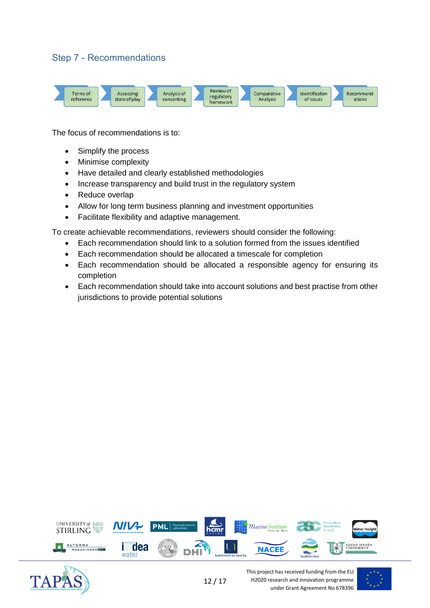# Step 7 - Recommendations



The focus of recommendations is to:

- Simplify the process
- Minimise complexity
- Have detailed and clearly established methodologies
- Increase transparency and build trust in the regulatory system
- Reduce overlap
- Allow for long term business planning and investment opportunities
- Facilitate flexibility and adaptive management.

To create achievable recommendations, reviewers should consider the following:

- Each recommendation should link to a solution formed from the issues identified
- Each recommendation should be allocated a timescale for completion
- Each recommendation should be allocated a responsible agency for ensuring its completion
- Each recommendation should take into account solutions and best practise from other jurisdictions to provide potential solutions





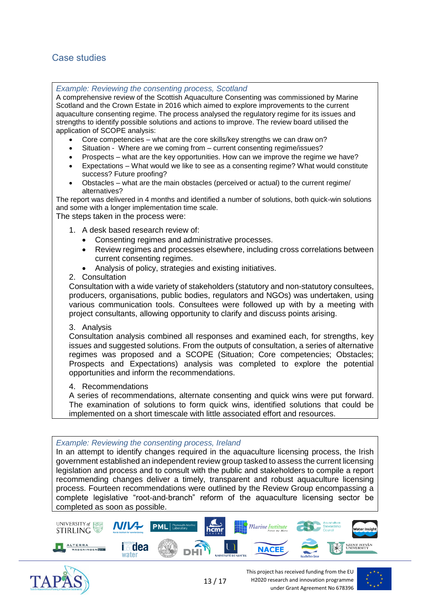# Case studies

#### *Example: Reviewing the consenting process, Scotland*

A comprehensive review of the Scottish Aquaculture Consenting was commissioned by Marine Scotland and the Crown Estate in 2016 which aimed to explore improvements to the current aquaculture consenting regime. The process analysed the regulatory regime for its issues and strengths to identify possible solutions and actions to improve. The review board utilised the application of SCOPE analysis:

- Core competencies what are the core skills/key strengths we can draw on?
- Situation Where are we coming from current consenting regime/issues?
- Prospects what are the key opportunities. How can we improve the regime we have?
- Expectations What would we like to see as a consenting regime? What would constitute success? Future proofing?
- Obstacles what are the main obstacles (perceived or actual) to the current regime/ alternatives?

The report was delivered in 4 months and identified a number of solutions, both quick-win solutions and some with a longer implementation time scale.

The steps taken in the process were:

- 1. A desk based research review of:
	- Consenting regimes and administrative processes.
	- Review regimes and processes elsewhere, including cross correlations between current consenting regimes.
	- Analysis of policy, strategies and existing initiatives.

#### 2. Consultation

Consultation with a wide variety of stakeholders (statutory and non-statutory consultees, producers, organisations, public bodies, regulators and NGOs) was undertaken, using various communication tools. Consultees were followed up with by a meeting with project consultants, allowing opportunity to clarify and discuss points arising.

#### 3. Analysis

Consultation analysis combined all responses and examined each, for strengths, key issues and suggested solutions. From the outputs of consultation, a series of alternative regimes was proposed and a SCOPE (Situation; Core competencies; Obstacles; Prospects and Expectations) analysis was completed to explore the potential opportunities and inform the recommendations.

#### 4. Recommendations

A series of recommendations, alternate consenting and quick wins were put forward. The examination of solutions to form quick wins, identified solutions that could be implemented on a short timescale with little associated effort and resources.

#### *Example: Reviewing the consenting process, Ireland*

In an attempt to identify changes required in the aquaculture licensing process, the Irish government established an independent review group tasked to assess the current licensing legislation and process and to consult with the public and stakeholders to compile a report recommending changes deliver a timely, transparent and robust aquaculture licensing process. Fourteen recommendations were outlined by the Review Group encompassing a complete legislative "root-and-branch" reform of the aquaculture licensing sector be completed as soon as possible.





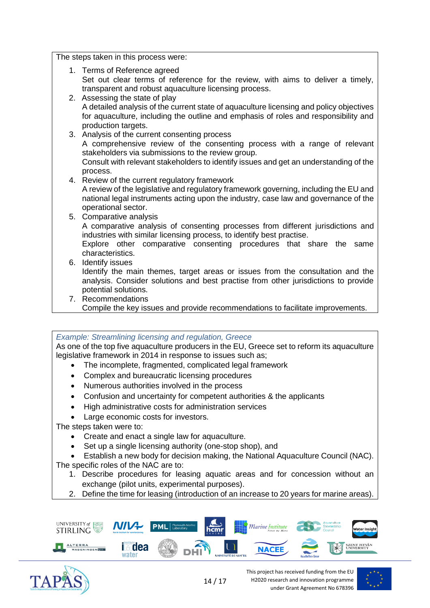The steps taken in this process were:

- 1. Terms of Reference agreed Set out clear terms of reference for the review, with aims to deliver a timely, transparent and robust aquaculture licensing process.
- 2. Assessing the state of play A detailed analysis of the current state of aquaculture licensing and policy objectives for aquaculture, including the outline and emphasis of roles and responsibility and production targets.
- 3. Analysis of the current consenting process A comprehensive review of the consenting process with a range of relevant stakeholders via submissions to the review group. Consult with relevant stakeholders to identify issues and get an understanding of the process.
- 4. Review of the current regulatory framework A review of the legislative and regulatory framework governing, including the EU and national legal instruments acting upon the industry, case law and governance of the operational sector.
- 5. Comparative analysis A comparative analysis of consenting processes from different jurisdictions and industries with similar licensing process, to identify best practise. Explore other comparative consenting procedures that share the same characteristics. 6. Identify issues
	- Identify the main themes, target areas or issues from the consultation and the analysis. Consider solutions and best practise from other jurisdictions to provide potential solutions.
- 7. Recommendations
	- Compile the key issues and provide recommendations to facilitate improvements.

*Example: Streamlining licensing and regulation, Greece* As one of the top five aquaculture producers in the EU, Greece set to reform its aquaculture legislative framework in 2014 in response to issues such as;

- The incomplete, fragmented, complicated legal framework
- Complex and bureaucratic licensing procedures
- Numerous authorities involved in the process
- Confusion and uncertainty for competent authorities & the applicants
- High administrative costs for administration services
- Large economic costs for investors.

The steps taken were to:

- Create and enact a single law for aquaculture.
- Set up a single licensing authority (one-stop shop), and
- Establish a new body for decision making, the National Aquaculture Council (NAC).
- The specific roles of the NAC are to:
	- 1. Describe procedures for leasing aquatic areas and for concession without an exchange (pilot units, experimental purposes).
	- 2. Define the time for leasing (introduction of an increase to 20 years for marine areas).





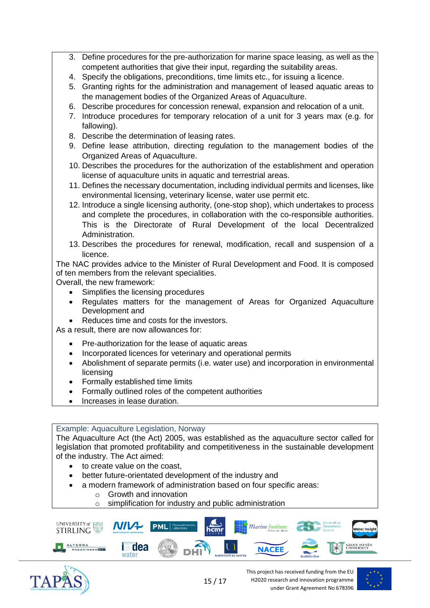- 3. Define procedures for the pre-authorization for marine space leasing, as well as the competent authorities that give their input, regarding the suitability areas.
- 4. Specify the obligations, preconditions, time limits etc., for issuing a licence.
- 5. Granting rights for the administration and management of leased aquatic areas to the management bodies of the Organized Areas of Aquaculture.
- 6. Describe procedures for concession renewal, expansion and relocation of a unit.
- 7. Introduce procedures for temporary relocation of a unit for 3 years max (e.g. for fallowing).
- 8. Describe the determination of leasing rates.
- 9. Define lease attribution, directing regulation to the management bodies of the Organized Areas of Aquaculture.
- 10. Describes the procedures for the authorization of the establishment and operation license of aquaculture units in aquatic and terrestrial areas.
- 11. Defines the necessary documentation, including individual permits and licenses, like environmental licensing, veterinary license, water use permit etc.
- 12. Introduce a single licensing authority, (one-stop shop), which undertakes to process and complete the procedures, in collaboration with the co-responsible authorities. This is the Directorate of Rural Development of the local Decentralized Administration.
- 13. Describes the procedures for renewal, modification, recall and suspension of a licence.

The NAC provides advice to the Minister of Rural Development and Food. It is composed of ten members from the relevant specialities.

Overall, the new framework:

- Simplifies the licensing procedures
- Regulates matters for the management of Areas for Organized Aquaculture Development and
- Reduces time and costs for the investors.

As a result, there are now allowances for:

- Pre-authorization for the lease of aquatic areas
- Incorporated licences for veterinary and operational permits
- Abolishment of separate permits (i.e. water use) and incorporation in environmental licensing
- Formally established time limits
- Formally outlined roles of the competent authorities
- Increases in lease duration.

Example: Aquaculture Legislation, Norway

The Aquaculture Act (the Act) 2005, was established as the aquaculture sector called for legislation that promoted profitability and competitiveness in the sustainable development of the industry. The Act aimed:

- to create value on the coast,
- better future-orientated development of the industry and
- a modern framework of administration based on four specific areas:
	- o Growth and innovation
	- o simplification for industry and public administration



15 / 17



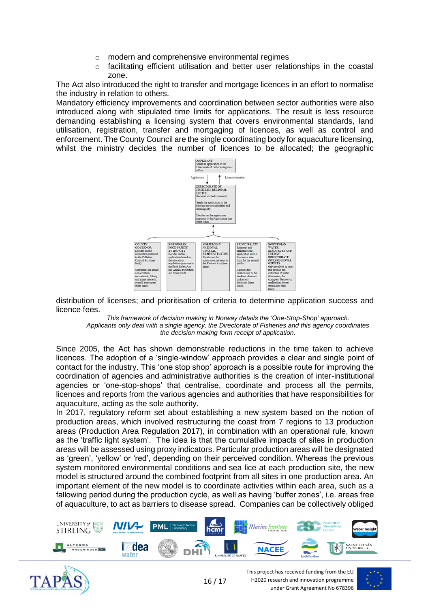- $\circ$  modern and comprehensive environmental regimes
- o facilitating efficient utilisation and better user relationships in the coastal zone.

The Act also introduced the right to transfer and mortgage licences in an effort to normalise the industry in relation to others.

Mandatory efficiency improvements and coordination between sector authorities were also introduced along with stipulated time limits for applications. The result is less resource demanding establishing a licensing system that covers environmental standards, land utilisation, registration, transfer and mortgaging of licences, as well as control and enforcement. The County Council are the single coordinating body for aquaculture licensing, whilst the ministry decides the number of licences to be allocated; the geographic



distribution of licenses; and prioritisation of criteria to determine application success and licence fees.

*This framework of decision making in Norway details the 'One-Stop-Shop' approach. Applicants only deal with a single agency, the Directorate of Fisheries and this agency coordinates the decision making form receipt of application.*

Since 2005, the Act has shown demonstrable reductions in the time taken to achieve licences. The adoption of a 'single-window' approach provides a clear and single point of contact for the industry. This 'one stop shop' approach is a possible route for improving the coordination of agencies and administrative authorities is the creation of inter-institutional agencies or 'one-stop-shops' that centralise, coordinate and process all the permits, licences and reports from the various agencies and authorities that have responsibilities for aquaculture, acting as the sole authority.

In 2017, regulatory reform set about establishing a new system based on the notion of production areas, which involved restructuring the coast from 7 regions to 13 production areas (Production Area Regulation 2017), in combination with an operational rule, known as the 'traffic light system'. The idea is that the cumulative impacts of sites in production areas will be assessed using proxy indicators. Particular production areas will be designated as 'green', 'yellow' or 'red', depending on their perceived condition. Whereas the previous system monitored environmental conditions and sea lice at each production site, the new model is structured around the combined footprint from all sites in one production area. An important element of the new model is to coordinate activities within each area, such as a fallowing period during the production cycle, as well as having 'buffer zones', i.e. areas free of aquaculture, to act as barriers to disease spread. Companies can be collectively obliged